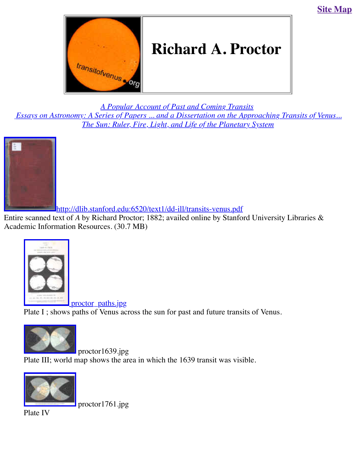

*A Popular Account of Past and Coming Transits <u>Essays on Astr[onomy: A Series of Pape](http://old.transitofvenus.org/index.htm)rs ... and a Dissertation on the Approaching Transity of Venus...*</u> *The Sun: Ruler, Fire, Light, and Life of the Planetary System*



[http://dlib.stanford.edu:6520/text1/dd-ill/transits-venus.pdf](http://old.transitofvenus.org/proctor/cover.jpg)

Entire scanned text of *A* by Richard Proctor; 1882; availed online by Stanford University Libra Academic Information Resources. (30.7 MB)



<u>proctor</u> paths.jpg [Plate I ; shows paths of Venus ac](http://old.transitofvenus.org/proctor_paths.jpg)ross the sun for past and future transits of Venus.



 proctor1639.jpg Plate III; world map shows the area in which the 1639 transit was visible.



proctor1761.jpg

[Plate IV](http://old.transitofvenus.org/proctor1639.jpg)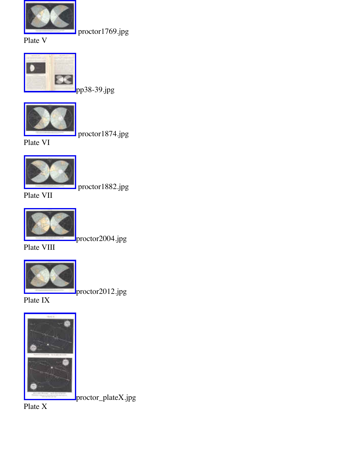

pp38-39.jpg



proctor1874.jpg

[Plate VI](http://old.transitofvenus.org/proctor/pp38-39.jpg) 



proctor1882.jpg

[Plate VII](http://old.transitofvenus.org/proctor1874.jpg)



proctor2004.jpg

[Plate VIII](http://old.transitofvenus.org/proctor1882.jpg)



proctor2012.jpg

[Plate IX](http://old.transitofvenus.org/proctor2004.jpg)



proctor\_plateX.jpg

[Plate X](http://old.transitofvenus.org/proctor_plateX.jpg)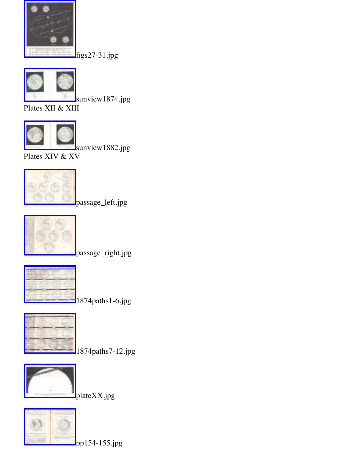

sunview1874.jpg

[Plates XII & XII](http://old.transitofvenus.org/proctor/figs27-31.jpg)I



sunview1882.jpg

[Plates XIV & XV](http://old.transitofvenus.org/proctor/sunview1874.jpg)



passage\_left.jpg



passage\_right.jpg

1874paths1-6.jpg



1874paths7-12.jpg



blateXX.jpg

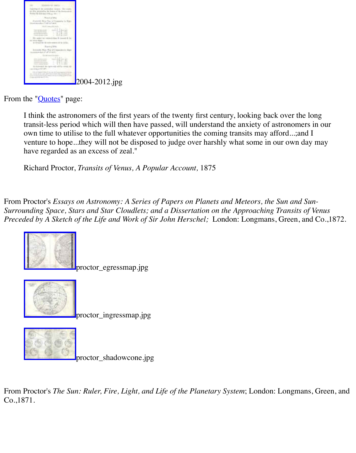

2004-2012.jpg

From the "*Quotes*" page:

I think the astronomers of the first years of the twenty first century, looking back over the transit-less period which will then have passed, will understand the anxiety of astronomers own time to utilise to the full whatever opportunities the coming transits may afford...;an venture to hope...they will not be disposed to judge over harshly what some in our own o have regarded as an excess of zeal."

Ric[hard Pro](http://old.transitofvenus.org/quotes.htm)ctor, *Transits of Venus, A Popular Account,* 1875

From Proctor's *Essays on Astronomy: A Series of Papers on Planets and Meteors, the Sun and Surrounding Space, Stars and Star Cloudlets; and a Dissertation on the Approaching Transits Preceded by A Sketch of the Life and Work of Sir John Herschel;* London: Longmans, Green,



proctor\_egressmap.jpg



proctor\_ingressmap.jpg



proctor\_shadowcone.jpg

From [Proctor's](http://old.transitofvenus.org/proctor_shadowcone.jpg) *The Sun: Ruler, Fire, Light, and Life of the Planetary System*; London: Longman Co.,1871.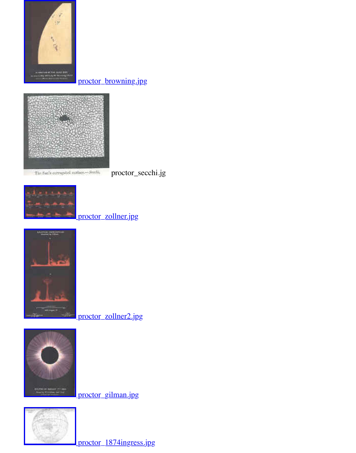proctor\_browning.jpg



The Sun's corrupted surface-Seeds,

proctor\_secchi.jg



## proctor\_zollner.jpg



proctor\_zollner2.jpg



**I** proctor gilman.jpg



Proctor\_1874ingress.jpg